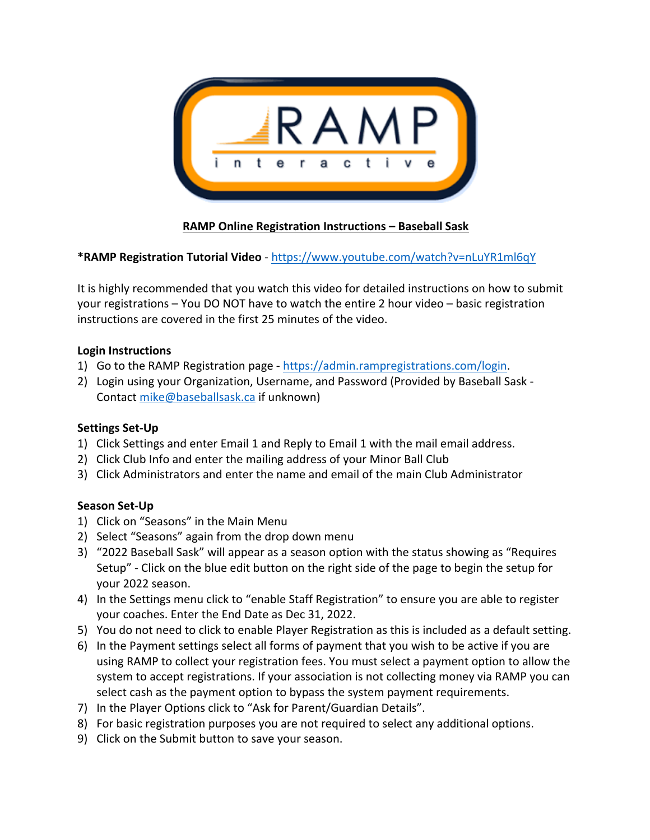

# **RAMP Online Registration Instructions – Baseball Sask**

# **\*RAMP Registration Tutorial Video** - https://www.youtube.com/watch?v=nLuYR1ml6qY

It is highly recommended that you watch this video for detailed instructions on how to submit your registrations – You DO NOT have to watch the entire 2 hour video – basic registration instructions are covered in the first 25 minutes of the video.

#### **Login Instructions**

- 1) Go to the RAMP Registration page https://admin.rampregistrations.com/login.
- 2) Login using your Organization, Username, and Password (Provided by Baseball Sask Contact mike@baseballsask.ca if unknown)

## **Settings Set-Up**

- 1) Click Settings and enter Email 1 and Reply to Email 1 with the mail email address.
- 2) Click Club Info and enter the mailing address of your Minor Ball Club
- 3) Click Administrators and enter the name and email of the main Club Administrator

# **Season Set-Up**

- 1) Click on "Seasons" in the Main Menu
- 2) Select "Seasons" again from the drop down menu
- 3) "2022 Baseball Sask" will appear as a season option with the status showing as "Requires Setup" - Click on the blue edit button on the right side of the page to begin the setup for your 2022 season.
- 4) In the Settings menu click to "enable Staff Registration" to ensure you are able to register your coaches. Enter the End Date as Dec 31, 2022.
- 5) You do not need to click to enable Player Registration as this is included as a default setting.
- 6) In the Payment settings select all forms of payment that you wish to be active if you are using RAMP to collect your registration fees. You must select a payment option to allow the system to accept registrations. If your association is not collecting money via RAMP you can select cash as the payment option to bypass the system payment requirements.
- 7) In the Player Options click to "Ask for Parent/Guardian Details".
- 8) For basic registration purposes you are not required to select any additional options.
- 9) Click on the Submit button to save your season.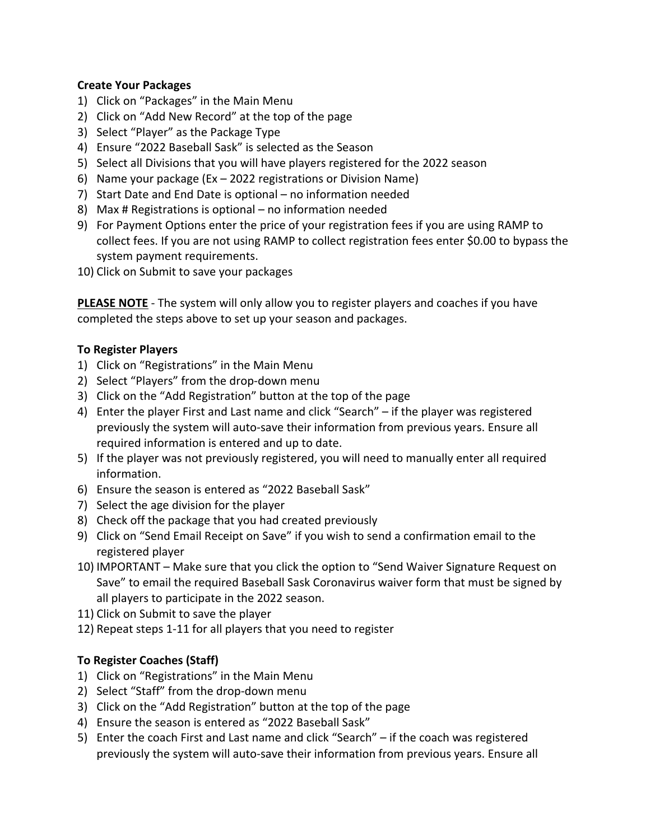#### **Create Your Packages**

- 1) Click on "Packages" in the Main Menu
- 2) Click on "Add New Record" at the top of the page
- 3) Select "Player" as the Package Type
- 4) Ensure "2022 Baseball Sask" is selected as the Season
- 5) Select all Divisions that you will have players registered for the 2022 season
- 6) Name your package (Ex 2022 registrations or Division Name)
- 7) Start Date and End Date is optional no information needed
- 8) Max # Registrations is optional no information needed
- 9) For Payment Options enter the price of your registration fees if you are using RAMP to collect fees. If you are not using RAMP to collect registration fees enter \$0.00 to bypass the system payment requirements.
- 10) Click on Submit to save your packages

**PLEASE NOTE** - The system will only allow you to register players and coaches if you have completed the steps above to set up your season and packages.

## **To Register Players**

- 1) Click on "Registrations" in the Main Menu
- 2) Select "Players" from the drop-down menu
- 3) Click on the "Add Registration" button at the top of the page
- 4) Enter the player First and Last name and click "Search" if the player was registered previously the system will auto-save their information from previous years. Ensure all required information is entered and up to date.
- 5) If the player was not previously registered, you will need to manually enter all required information.
- 6) Ensure the season is entered as "2022 Baseball Sask"
- 7) Select the age division for the player
- 8) Check off the package that you had created previously
- 9) Click on "Send Email Receipt on Save" if you wish to send a confirmation email to the registered player
- 10) IMPORTANT Make sure that you click the option to "Send Waiver Signature Request on Save" to email the required Baseball Sask Coronavirus waiver form that must be signed by all players to participate in the 2022 season.
- 11) Click on Submit to save the player
- 12) Repeat steps 1-11 for all players that you need to register

## **To Register Coaches (Staff)**

- 1) Click on "Registrations" in the Main Menu
- 2) Select "Staff" from the drop-down menu
- 3) Click on the "Add Registration" button at the top of the page
- 4) Ensure the season is entered as "2022 Baseball Sask"
- 5) Enter the coach First and Last name and click "Search" if the coach was registered previously the system will auto-save their information from previous years. Ensure all